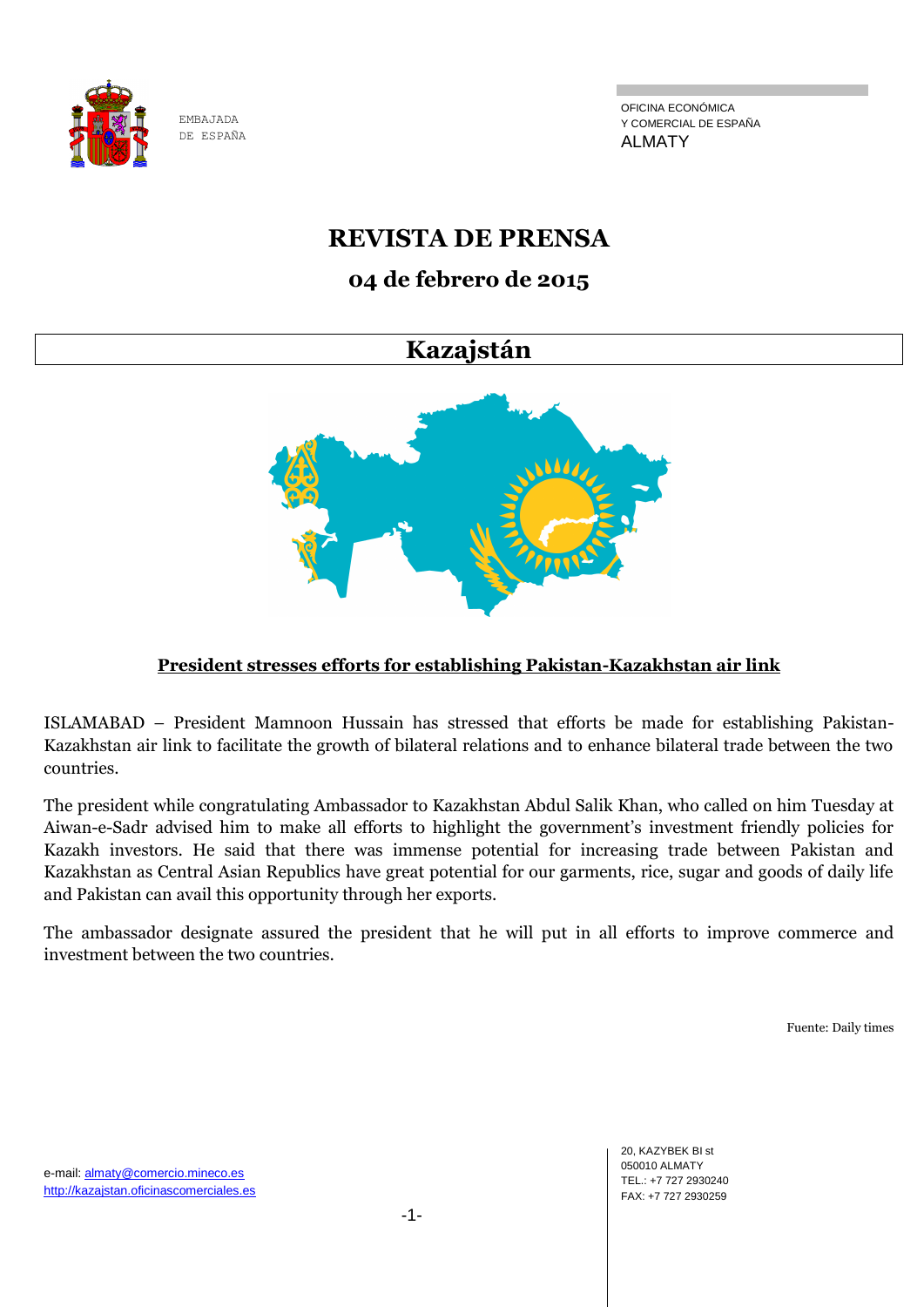

OFICINA ECONÓMICA Y COMERCIAL DE ESPAÑA ALMATY

# **REVISTA DE PRENSA**

# **04 de febrero de 2015**

# **Kazajstán**



# **President stresses efforts for establishing Pakistan-Kazakhstan air link**

ISLAMABAD – President Mamnoon Hussain has stressed that efforts be made for establishing Pakistan-Kazakhstan air link to facilitate the growth of bilateral relations and to enhance bilateral trade between the two countries.

The president while congratulating Ambassador to Kazakhstan Abdul Salik Khan, who called on him Tuesday at Aiwan-e-Sadr advised him to make all efforts to highlight the government's investment friendly policies for Kazakh investors. He said that there was immense potential for increasing trade between Pakistan and Kazakhstan as Central Asian Republics have great potential for our garments, rice, sugar and goods of daily life and Pakistan can avail this opportunity through her exports.

The ambassador designate assured the president that he will put in all efforts to improve commerce and investment between the two countries.

Fuente: Daily times

20, KAZYBEK BI st 050010 ALMATY TEL.: +7 727 2930240 FAX: +7 727 2930259

e-mail: almaty@comercio.mineco.es http://kazajstan.oficinascomerciales.es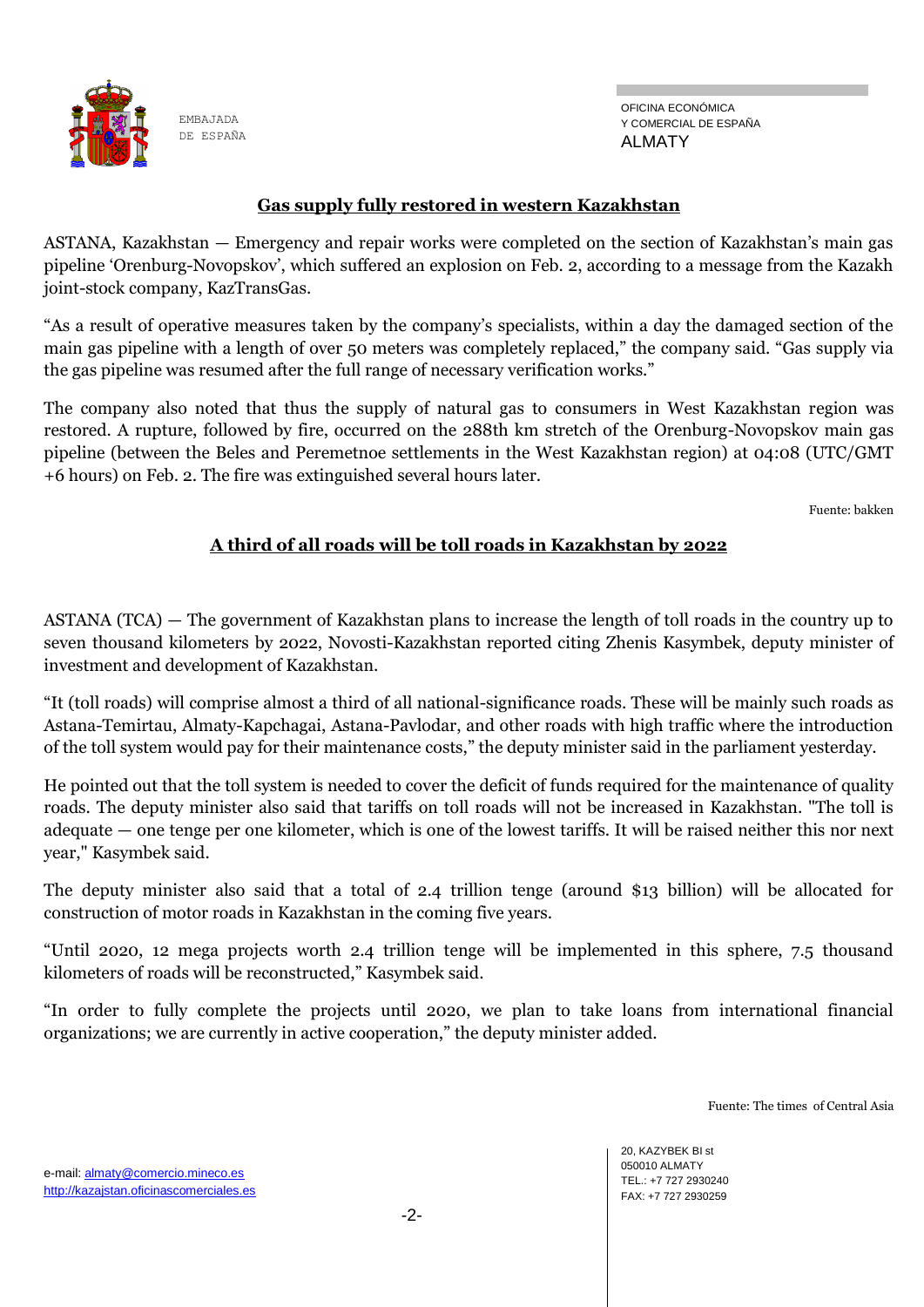

# **Gas supply fully restored in western Kazakhstan**

ASTANA, Kazakhstan — Emergency and repair works were completed on the section of Kazakhstan's main gas pipeline ‗Orenburg-Novopskov', which suffered an explosion on Feb. 2, according to a message from the Kazakh joint-stock company, KazTransGas.

―As a result of operative measures taken by the company's specialists, within a day the damaged section of the main gas pipeline with a length of over 50 meters was completely replaced," the company said. "Gas supply via the gas pipeline was resumed after the full range of necessary verification works."

The company also noted that thus the supply of natural gas to consumers in West Kazakhstan region was restored. A rupture, followed by fire, occurred on the 288th km stretch of the Orenburg-Novopskov main gas pipeline (between the Beles and Peremetnoe settlements in the West Kazakhstan region) at 04:08 (UTC/GMT +6 hours) on Feb. 2. The fire was extinguished several hours later.

Fuente: bakken

# **A third of all roads will be toll roads in Kazakhstan by 2022**

ASTANA (TCA) — The government of Kazakhstan plans to increase the length of toll roads in the country up to seven thousand kilometers by 2022, Novosti-Kazakhstan reported citing Zhenis Kasymbek, deputy minister of investment and development of Kazakhstan.

―It (toll roads) will comprise almost a third of all national-significance roads. These will be mainly such roads as Astana-Temirtau, Almaty-Kapchagai, Astana-Pavlodar, and other roads with high traffic where the introduction of the toll system would pay for their maintenance costs," the deputy minister said in the parliament yesterday.

He pointed out that the toll system is needed to cover the deficit of funds required for the maintenance of quality roads. The deputy minister also said that tariffs on toll roads will not be increased in Kazakhstan. "The toll is adequate — one tenge per one kilometer, which is one of the lowest tariffs. It will be raised neither this nor next year," Kasymbek said.

The deputy minister also said that a total of 2.4 trillion tenge (around \$13 billion) will be allocated for construction of motor roads in Kazakhstan in the coming five years.

―Until 2020, 12 mega projects worth 2.4 trillion tenge will be implemented in this sphere, 7.5 thousand kilometers of roads will be reconstructed," Kasymbek said.

―In order to fully complete the projects until 2020, we plan to take loans from international financial organizations; we are currently in active cooperation," the deputy minister added.

Fuente: The times of Central Asia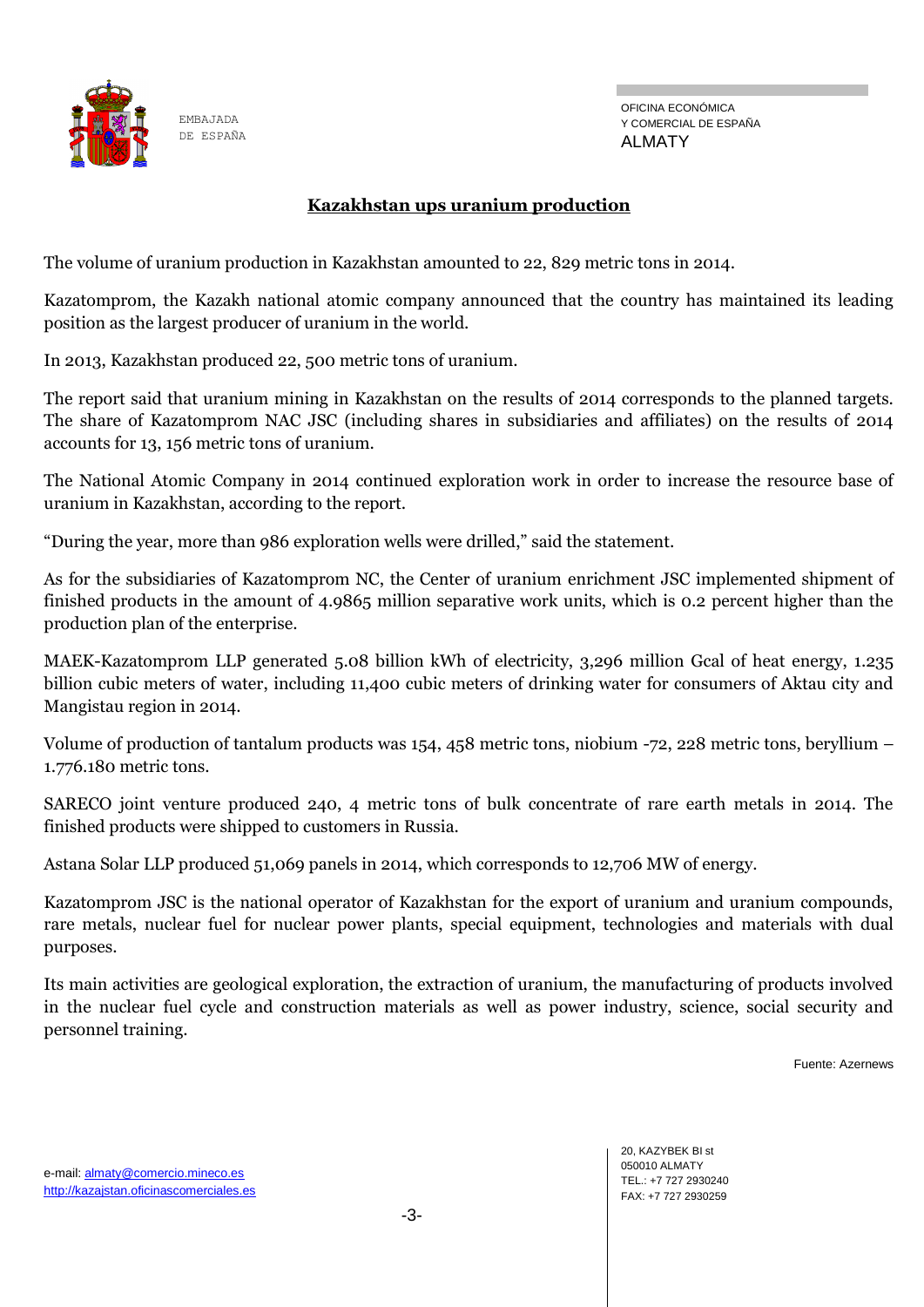

# **Kazakhstan ups uranium production**

The volume of uranium production in Kazakhstan amounted to 22, 829 metric tons in 2014.

Kazatomprom, the Kazakh national atomic company announced that the country has maintained its leading position as the largest producer of uranium in the world.

In 2013, Kazakhstan produced 22, 500 metric tons of uranium.

The report said that uranium mining in Kazakhstan on the results of 2014 corresponds to the planned targets. The share of Kazatomprom NAC JSC (including shares in subsidiaries and affiliates) on the results of 2014 accounts for 13, 156 metric tons of uranium.

The National Atomic Company in 2014 continued exploration work in order to increase the resource base of uranium in Kazakhstan, according to the report.

"During the year, more than 986 exploration wells were drilled," said the statement.

As for the subsidiaries of Kazatomprom NC, the Center of uranium enrichment JSC implemented shipment of finished products in the amount of 4.9865 million separative work units, which is 0.2 percent higher than the production plan of the enterprise.

MAEK-Kazatomprom LLP generated 5.08 billion kWh of electricity, 3,296 million Gcal of heat energy, 1.235 billion cubic meters of water, including 11,400 cubic meters of drinking water for consumers of Aktau city and Mangistau region in 2014.

Volume of production of tantalum products was 154, 458 metric tons, niobium -72, 228 metric tons, beryllium – 1.776.180 metric tons.

SARECO joint venture produced 240, 4 metric tons of bulk concentrate of rare earth metals in 2014. The finished products were shipped to customers in Russia.

Astana Solar LLP produced 51,069 panels in 2014, which corresponds to 12,706 MW of energy.

Kazatomprom JSC is the national operator of Kazakhstan for the export of uranium and uranium compounds, rare metals, nuclear fuel for nuclear power plants, special equipment, technologies and materials with dual purposes.

Its main activities are geological exploration, the extraction of uranium, the manufacturing of products involved in the nuclear fuel cycle and construction materials as well as power industry, science, social security and personnel training.

Fuente: Azernews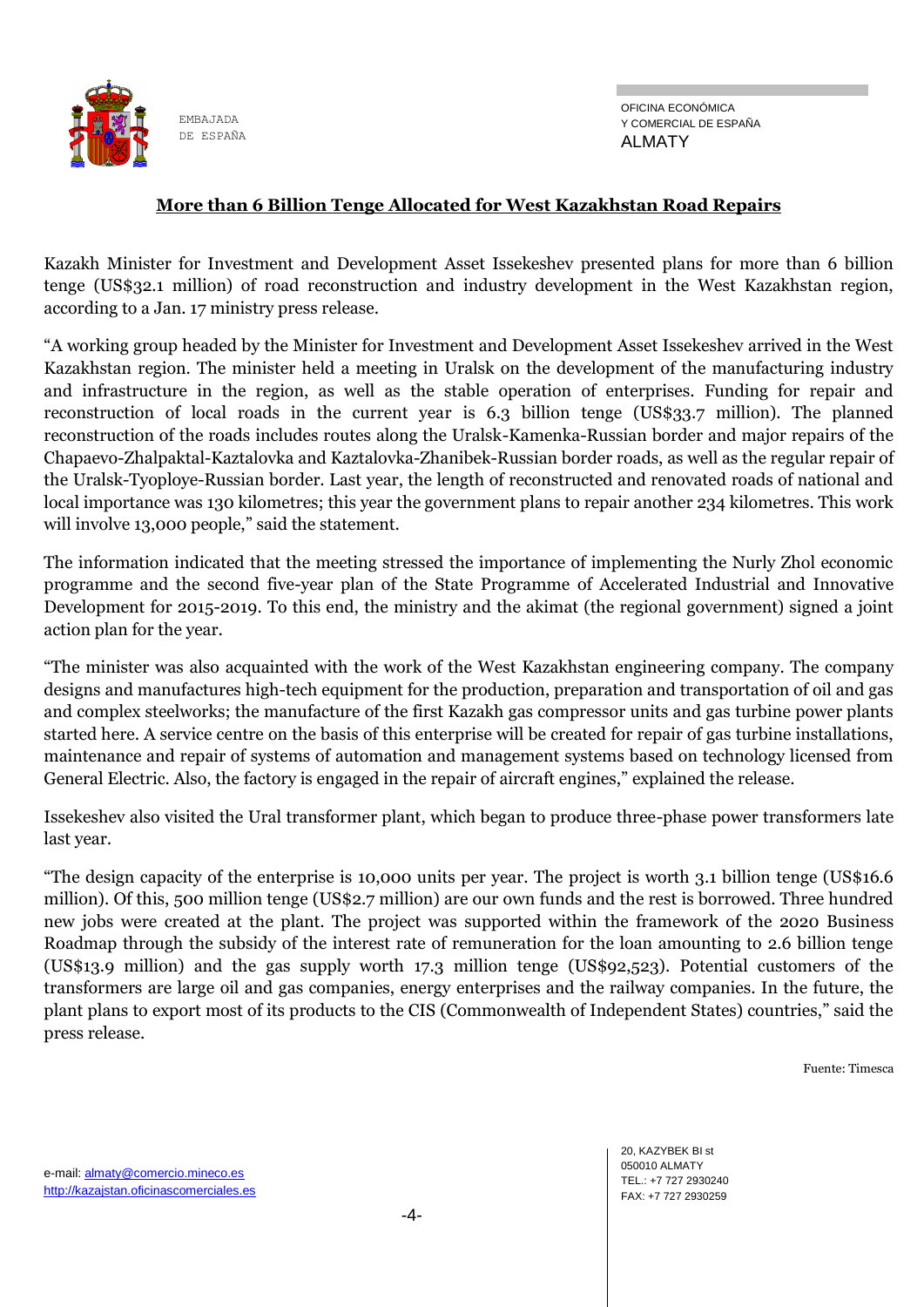

#### **More than 6 Billion Tenge Allocated for West Kazakhstan Road Repairs**

Kazakh Minister for Investment and Development Asset Issekeshev presented plans for more than 6 billion tenge (US\$32.1 million) of road reconstruction and industry development in the West Kazakhstan region, according to a Jan. 17 ministry press release.

―A working group headed by the Minister for Investment and Development Asset Issekeshev arrived in the West Kazakhstan region. The minister held a meeting in Uralsk on the development of the manufacturing industry and infrastructure in the region, as well as the stable operation of enterprises. Funding for repair and reconstruction of local roads in the current year is 6.3 billion tenge (US\$33.7 million). The planned reconstruction of the roads includes routes along the Uralsk-Kamenka-Russian border and major repairs of the Chapaevo-Zhalpaktal-Kaztalovka and Kaztalovka-Zhanibek-Russian border roads, as well as the regular repair of the Uralsk-Tyoploye-Russian border. Last year, the length of reconstructed and renovated roads of national and local importance was 130 kilometres; this year the government plans to repair another 234 kilometres. This work will involve 13,000 people," said the statement.

The information indicated that the meeting stressed the importance of implementing the Nurly Zhol economic programme and the second five-year plan of the State Programme of Accelerated Industrial and Innovative Development for 2015-2019. To this end, the ministry and the akimat (the regional government) signed a joint action plan for the year.

―The minister was also acquainted with the work of the West Kazakhstan engineering company. The company designs and manufactures high-tech equipment for the production, preparation and transportation of oil and gas and complex steelworks; the manufacture of the first Kazakh gas compressor units and gas turbine power plants started here. A service centre on the basis of this enterprise will be created for repair of gas turbine installations, maintenance and repair of systems of automation and management systems based on technology licensed from General Electric. Also, the factory is engaged in the repair of aircraft engines," explained the release.

Issekeshev also visited the Ural transformer plant, which began to produce three-phase power transformers late last year.

―The design capacity of the enterprise is 10,000 units per year. The project is worth 3.1 billion tenge (US\$16.6 million). Of this, 500 million tenge (US\$2.7 million) are our own funds and the rest is borrowed. Three hundred new jobs were created at the plant. The project was supported within the framework of the 2020 Business Roadmap through the subsidy of the interest rate of remuneration for the loan amounting to 2.6 billion tenge (US\$13.9 million) and the gas supply worth 17.3 million tenge (US\$92,523). Potential customers of the transformers are large oil and gas companies, energy enterprises and the railway companies. In the future, the plant plans to export most of its products to the CIS (Commonwealth of Independent States) countries," said the press release.

Fuente: Timesca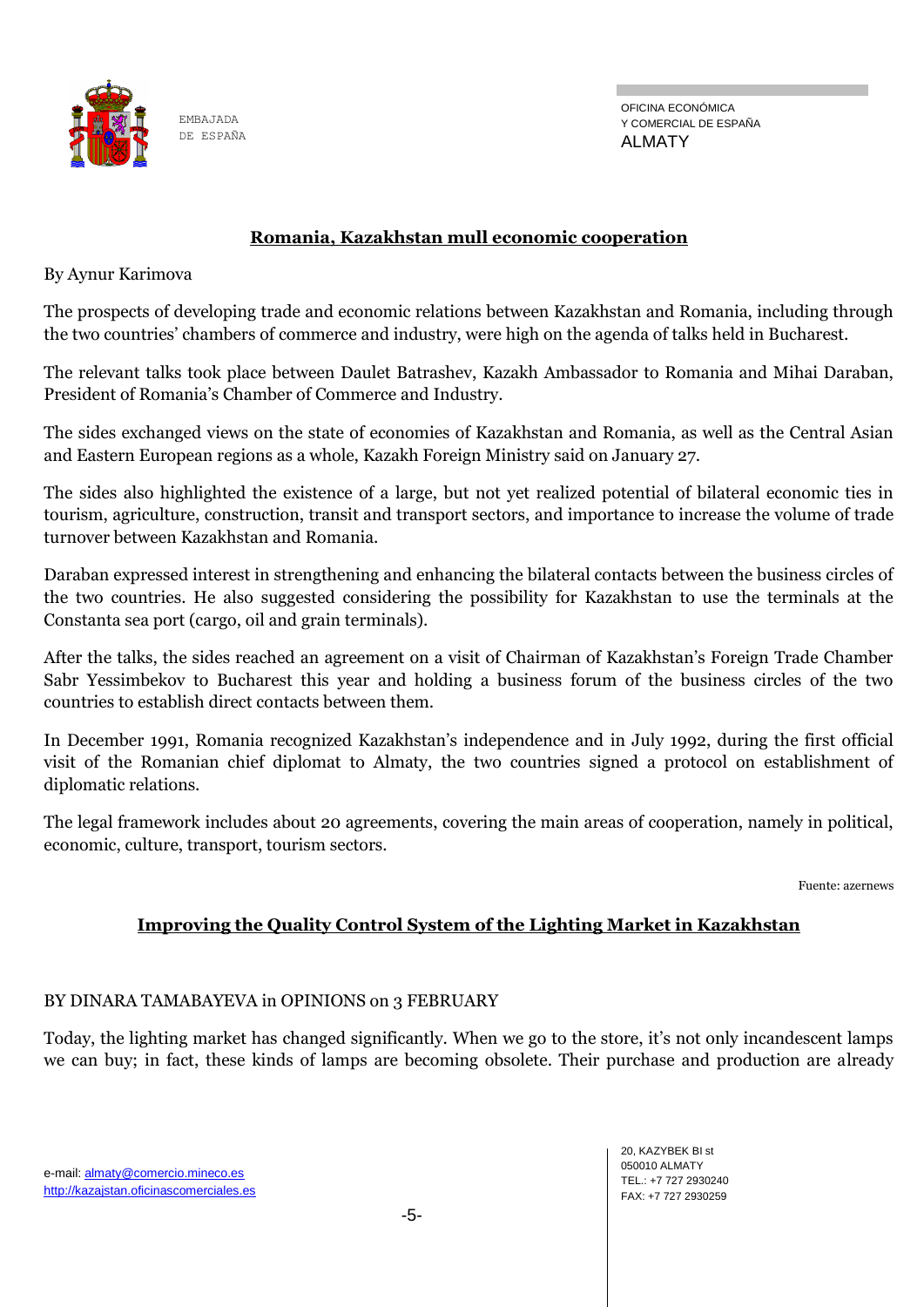

OFICINA ECONÓMICA Y COMERCIAL DE ESPAÑA ALMATY

#### **Romania, Kazakhstan mull economic cooperation**

By Aynur Karimova

The prospects of developing trade and economic relations between Kazakhstan and Romania, including through the two countries' chambers of commerce and industry, were high on the agenda of talks held in Bucharest.

The relevant talks took place between Daulet Batrashev, Kazakh Ambassador to Romania and Mihai Daraban, President of Romania's Chamber of Commerce and Industry.

The sides exchanged views on the state of economies of Kazakhstan and Romania, as well as the Central Asian and Eastern European regions as a whole, Kazakh Foreign Ministry said on January 27.

The sides also highlighted the existence of a large, but not yet realized potential of bilateral economic ties in tourism, agriculture, construction, transit and transport sectors, and importance to increase the volume of trade turnover between Kazakhstan and Romania.

Daraban expressed interest in strengthening and enhancing the bilateral contacts between the business circles of the two countries. He also suggested considering the possibility for Kazakhstan to use the terminals at the Constanta sea port (cargo, oil and grain terminals).

After the talks, the sides reached an agreement on a visit of Chairman of Kazakhstan's Foreign Trade Chamber Sabr Yessimbekov to Bucharest this year and holding a business forum of the business circles of the two countries to establish direct contacts between them.

In December 1991, Romania recognized Kazakhstan's independence and in July 1992, during the first official visit of the Romanian chief diplomat to Almaty, the two countries signed a protocol on establishment of diplomatic relations.

The legal framework includes about 20 agreements, covering the main areas of cooperation, namely in political, economic, culture, transport, tourism sectors.

Fuente: azernews

# **Improving the Quality Control System of the Lighting Market in Kazakhstan**

#### BY DINARA TAMABAYEVA in OPINIONS on 3 FEBRUARY

Today, the lighting market has changed significantly. When we go to the store, it's not only incandescent lamps we can buy; in fact, these kinds of lamps are becoming obsolete. Their purchase and production are already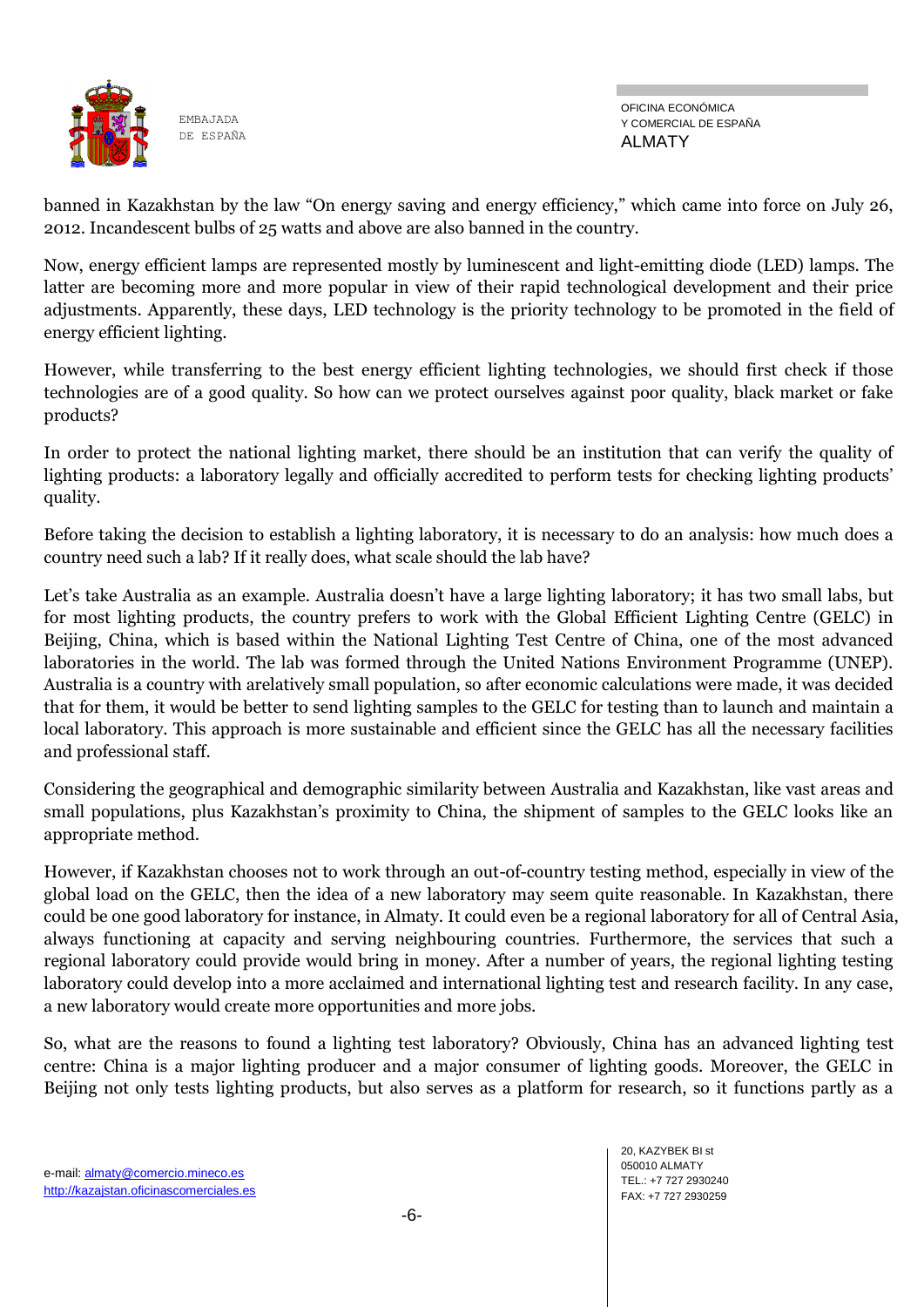

banned in Kazakhstan by the law "On energy saving and energy efficiency," which came into force on July 26, 2012. Incandescent bulbs of 25 watts and above are also banned in the country.

Now, energy efficient lamps are represented mostly by luminescent and light-emitting diode (LED) lamps. The latter are becoming more and more popular in view of their rapid technological development and their price adjustments. Apparently, these days, LED technology is the priority technology to be promoted in the field of energy efficient lighting.

However, while transferring to the best energy efficient lighting technologies, we should first check if those technologies are of a good quality. So how can we protect ourselves against poor quality, black market or fake products?

In order to protect the national lighting market, there should be an institution that can verify the quality of lighting products: a laboratory legally and officially accredited to perform tests for checking lighting products' quality.

Before taking the decision to establish a lighting laboratory, it is necessary to do an analysis: how much does a country need such a lab? If it really does, what scale should the lab have?

Let's take Australia as an example. Australia doesn't have a large lighting laboratory; it has two small labs, but for most lighting products, the country prefers to work with the Global Efficient Lighting Centre (GELC) in Beijing, China, which is based within the National Lighting Test Centre of China, one of the most advanced laboratories in the world. The lab was formed through the United Nations Environment Programme (UNEP). Australia is a country with arelatively small population, so after economic calculations were made, it was decided that for them, it would be better to send lighting samples to the GELC for testing than to launch and maintain a local laboratory. This approach is more sustainable and efficient since the GELC has all the necessary facilities and professional staff.

Considering the geographical and demographic similarity between Australia and Kazakhstan, like vast areas and small populations, plus Kazakhstan's proximity to China, the shipment of samples to the GELC looks like an appropriate method.

However, if Kazakhstan chooses not to work through an out-of-country testing method, especially in view of the global load on the GELC, then the idea of a new laboratory may seem quite reasonable. In Kazakhstan, there could be one good laboratory for instance, in Almaty. It could even be a regional laboratory for all of Central Asia, always functioning at capacity and serving neighbouring countries. Furthermore, the services that such a regional laboratory could provide would bring in money. After a number of years, the regional lighting testing laboratory could develop into a more acclaimed and international lighting test and research facility. In any case, a new laboratory would create more opportunities and more jobs.

So, what are the reasons to found a lighting test laboratory? Obviously, China has an advanced lighting test centre: China is a major lighting producer and a major consumer of lighting goods. Moreover, the GELC in Beijing not only tests lighting products, but also serves as a platform for research, so it functions partly as a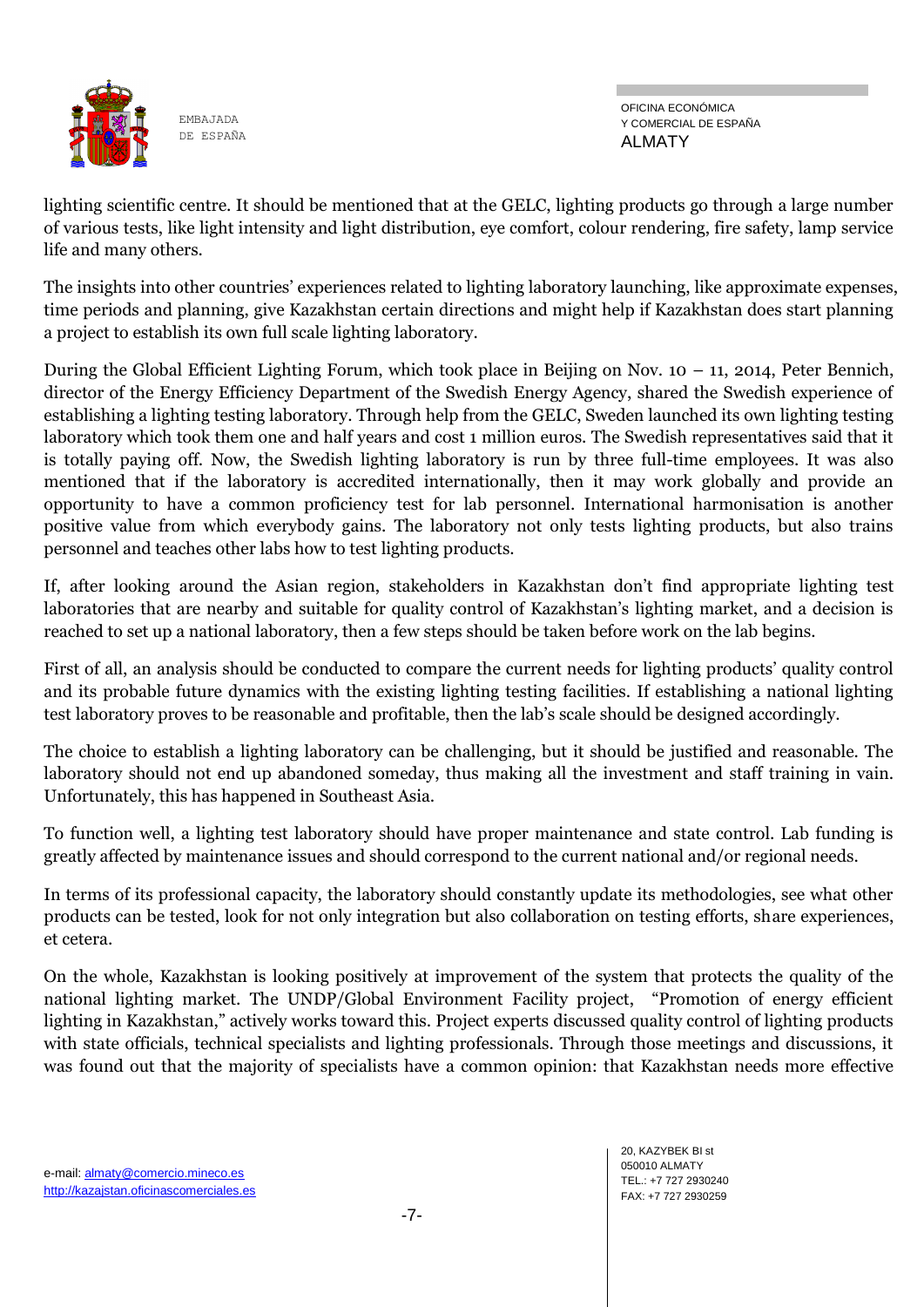

OFICINA ECONÓMICA Y COMERCIAL DE ESPAÑA ALMATY

lighting scientific centre. It should be mentioned that at the GELC, lighting products go through a large number of various tests, like light intensity and light distribution, eye comfort, colour rendering, fire safety, lamp service life and many others.

The insights into other countries' experiences related to lighting laboratory launching, like approximate expenses, time periods and planning, give Kazakhstan certain directions and might help if Kazakhstan does start planning a project to establish its own full scale lighting laboratory.

During the Global Efficient Lighting Forum, which took place in Beijing on Nov. 10 – 11, 2014, Peter Bennich, director of the Energy Efficiency Department of the Swedish Energy Agency, shared the Swedish experience of establishing a lighting testing laboratory. Through help from the GELC, Sweden launched its own lighting testing laboratory which took them one and half years and cost 1 million euros. The Swedish representatives said that it is totally paying off. Now, the Swedish lighting laboratory is run by three full-time employees. It was also mentioned that if the laboratory is accredited internationally, then it may work globally and provide an opportunity to have a common proficiency test for lab personnel. International harmonisation is another positive value from which everybody gains. The laboratory not only tests lighting products, but also trains personnel and teaches other labs how to test lighting products.

If, after looking around the Asian region, stakeholders in Kazakhstan don't find appropriate lighting test laboratories that are nearby and suitable for quality control of Kazakhstan's lighting market, and a decision is reached to set up a national laboratory, then a few steps should be taken before work on the lab begins.

First of all, an analysis should be conducted to compare the current needs for lighting products' quality control and its probable future dynamics with the existing lighting testing facilities. If establishing a national lighting test laboratory proves to be reasonable and profitable, then the lab's scale should be designed accordingly.

The choice to establish a lighting laboratory can be challenging, but it should be justified and reasonable. The laboratory should not end up abandoned someday, thus making all the investment and staff training in vain. Unfortunately, this has happened in Southeast Asia.

To function well, a lighting test laboratory should have proper maintenance and state control. Lab funding is greatly affected by maintenance issues and should correspond to the current national and/or regional needs.

In terms of its professional capacity, the laboratory should constantly update its methodologies, see what other products can be tested, look for not only integration but also collaboration on testing efforts, share experiences, et cetera.

On the whole, Kazakhstan is looking positively at improvement of the system that protects the quality of the national lighting market. The UNDP/Global Environment Facility project, "Promotion of energy efficient lighting in Kazakhstan," actively works toward this. Project experts discussed quality control of lighting products with state officials, technical specialists and lighting professionals. Through those meetings and discussions, it was found out that the majority of specialists have a common opinion: that Kazakhstan needs more effective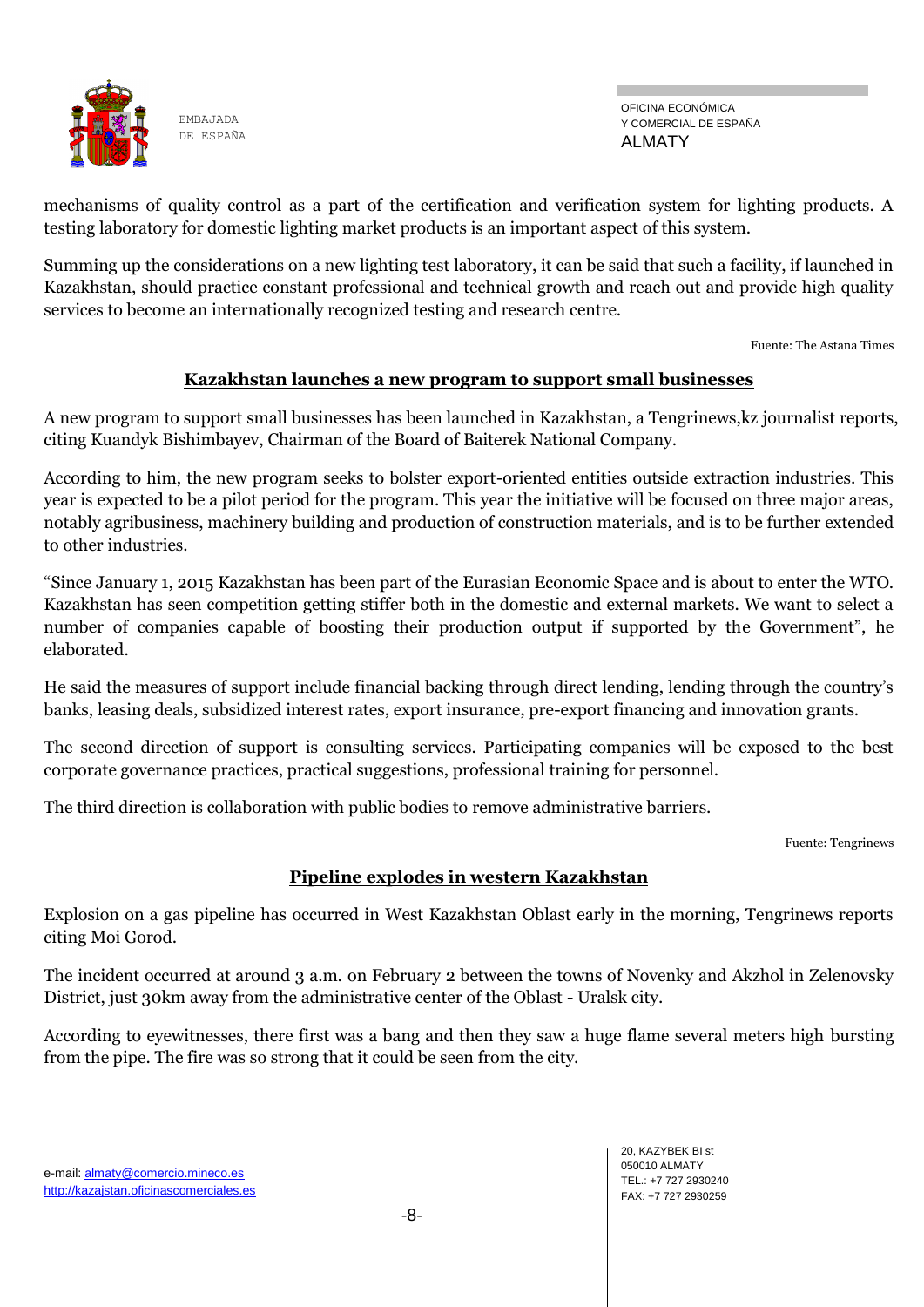

OFICINA ECONÓMICA Y COMERCIAL DE ESPAÑA ALMATY

mechanisms of quality control as a part of the certification and verification system for lighting products. A testing laboratory for domestic lighting market products is an important aspect of this system.

Summing up the considerations on a new lighting test laboratory, it can be said that such a facility, if launched in Kazakhstan, should practice constant professional and technical growth and reach out and provide high quality services to become an internationally recognized testing and research centre.

Fuente: The Astana Times

# **Kazakhstan launches a new program to support small businesses**

A new program to support small businesses has been launched in Kazakhstan, a Tengrinews,kz journalist reports, citing Kuandyk Bishimbayev, Chairman of the Board of Baiterek National Company.

According to him, the new program seeks to bolster export-oriented entities outside extraction industries. This year is expected to be a pilot period for the program. This year the initiative will be focused on three major areas, notably agribusiness, machinery building and production of construction materials, and is to be further extended to other industries.

―Since January 1, 2015 Kazakhstan has been part of the Eurasian Economic Space and is about to enter the WTO. Kazakhstan has seen competition getting stiffer both in the domestic and external markets. We want to select a number of companies capable of boosting their production output if supported by the Government", he elaborated.

He said the measures of support include financial backing through direct lending, lending through the country's banks, leasing deals, subsidized interest rates, export insurance, pre-export financing and innovation grants.

The second direction of support is consulting services. Participating companies will be exposed to the best corporate governance practices, practical suggestions, professional training for personnel.

The third direction is collaboration with public bodies to remove administrative barriers.

Fuente: Tengrinews

# **Pipeline explodes in western Kazakhstan**

Explosion on a gas pipeline has occurred in West Kazakhstan Oblast early in the morning, Tengrinews reports citing Moi Gorod.

The incident occurred at around 3 a.m. on February 2 between the towns of Novenky and Akzhol in Zelenovsky District, just 30km away from the administrative center of the Oblast - Uralsk city.

According to eyewitnesses, there first was a bang and then they saw a huge flame several meters high bursting from the pipe. The fire was so strong that it could be seen from the city.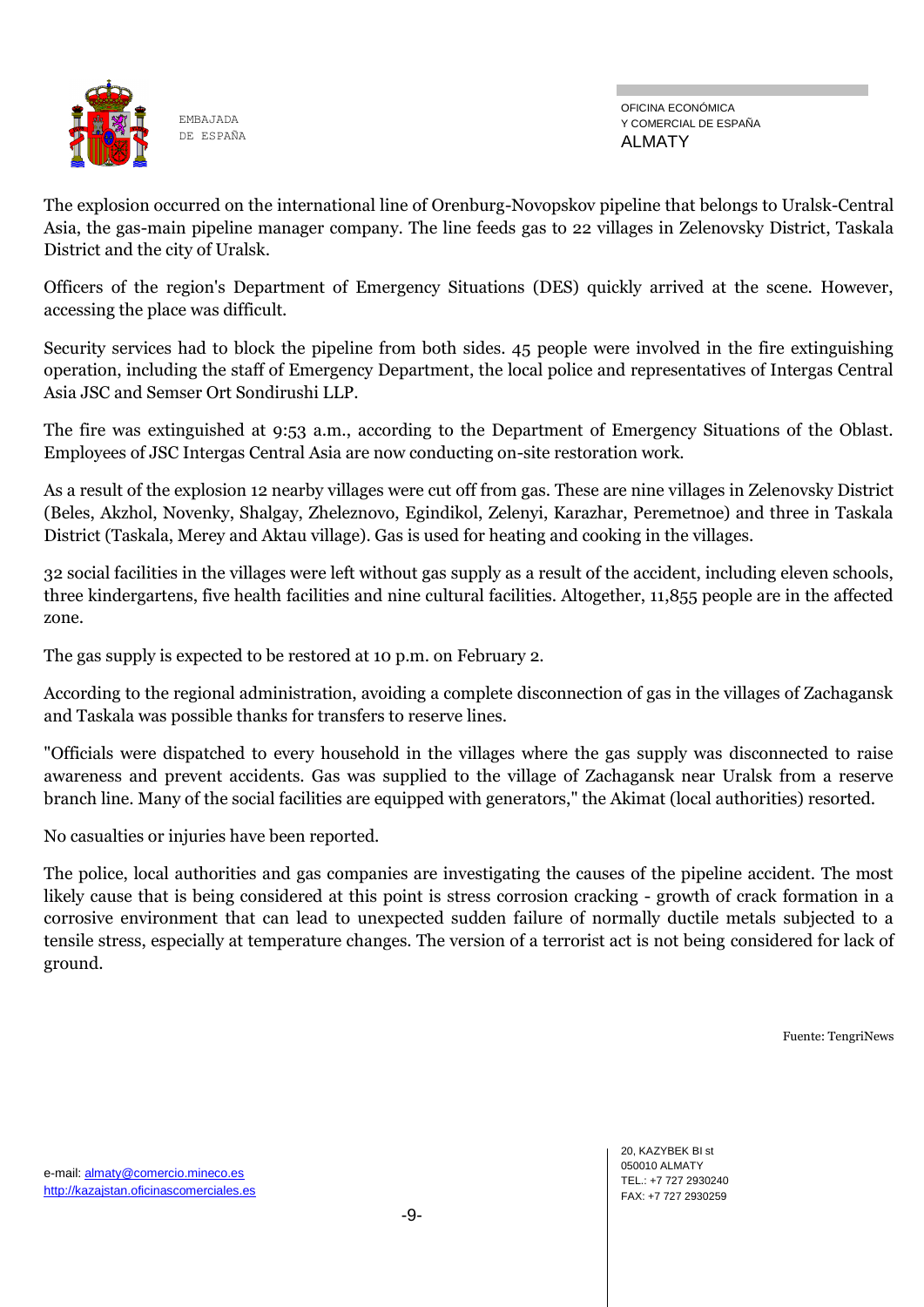

OFICINA ECONÓMICA Y COMERCIAL DE ESPAÑA ALMATY

The explosion occurred on the international line of Orenburg-Novopskov pipeline that belongs to Uralsk-Central Asia, the gas-main pipeline manager company. The line feeds gas to 22 villages in Zelenovsky District, Taskala District and the city of Uralsk.

Officers of the region's Department of Emergency Situations (DES) quickly arrived at the scene. However, accessing the place was difficult.

Security services had to block the pipeline from both sides. 45 people were involved in the fire extinguishing operation, including the staff of Emergency Department, the local police and representatives of Intergas Central Asia JSC and Semser Ort Sondirushi LLP.

The fire was extinguished at 9:53 a.m., according to the Department of Emergency Situations of the Oblast. Employees of JSC Intergas Central Asia are now conducting on-site restoration work.

As a result of the explosion 12 nearby villages were cut off from gas. These are nine villages in Zelenovsky District (Beles, Akzhol, Novenky, Shalgay, Zheleznovo, Egindikol, Zelenyi, Karazhar, Peremetnoe) and three in Taskala District (Taskala, Merey and Aktau village). Gas is used for heating and cooking in the villages.

32 social facilities in the villages were left without gas supply as a result of the accident, including eleven schools, three kindergartens, five health facilities and nine cultural facilities. Altogether, 11,855 people are in the affected zone.

The gas supply is expected to be restored at 10 p.m. on February 2.

According to the regional administration, avoiding a complete disconnection of gas in the villages of Zachagansk and Taskala was possible thanks for transfers to reserve lines.

"Officials were dispatched to every household in the villages where the gas supply was disconnected to raise awareness and prevent accidents. Gas was supplied to the village of Zachagansk near Uralsk from a reserve branch line. Many of the social facilities are equipped with generators," the Akimat (local authorities) resorted.

No casualties or injuries have been reported.

The police, local authorities and gas companies are investigating the causes of the pipeline accident. The most likely cause that is being considered at this point is stress corrosion cracking - growth of crack formation in a corrosive environment that can lead to unexpected sudden failure of normally ductile metals subjected to a tensile stress, especially at temperature changes. The version of a terrorist act is not being considered for lack of ground.

Fuente: TengriNews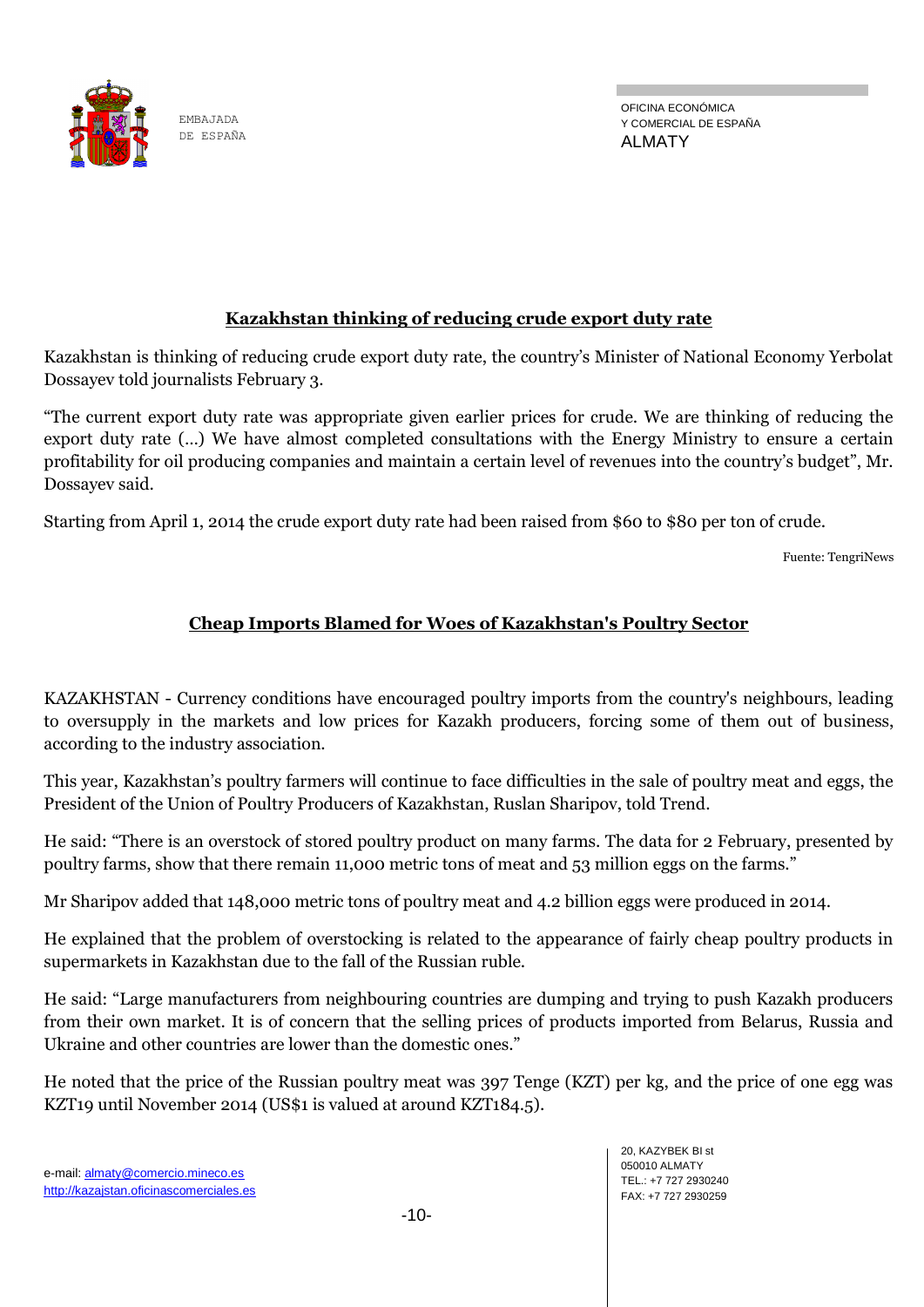

EMBAJADA DE ESPAÑA

# **Kazakhstan thinking of reducing crude export duty rate**

Kazakhstan is thinking of reducing crude export duty rate, the country's Minister of National Economy Yerbolat Dossayev told journalists February 3.

―The current export duty rate was appropriate given earlier prices for crude. We are thinking of reducing the export duty rate (…) We have almost completed consultations with the Energy Ministry to ensure a certain profitability for oil producing companies and maintain a certain level of revenues into the country's budget", Mr. Dossayev said.

Starting from April 1, 2014 the crude export duty rate had been raised from \$60 to \$80 per ton of crude.

Fuente: TengriNews

# **Cheap Imports Blamed for Woes of Kazakhstan's Poultry Sector**

KAZAKHSTAN - Currency conditions have encouraged poultry imports from the country's neighbours, leading to oversupply in the markets and low prices for Kazakh producers, forcing some of them out of business, according to the industry association.

This year, Kazakhstan's poultry farmers will continue to face difficulties in the sale of poultry meat and eggs, the President of the Union of Poultry Producers of Kazakhstan, Ruslan Sharipov, told Trend.

He said: "There is an overstock of stored poultry product on many farms. The data for 2 February, presented by poultry farms, show that there remain 11,000 metric tons of meat and 53 million eggs on the farms."

Mr Sharipov added that 148,000 metric tons of poultry meat and 4.2 billion eggs were produced in 2014.

He explained that the problem of overstocking is related to the appearance of fairly cheap poultry products in supermarkets in Kazakhstan due to the fall of the Russian ruble.

He said: "Large manufacturers from neighbouring countries are dumping and trying to push Kazakh producers from their own market. It is of concern that the selling prices of products imported from Belarus, Russia and Ukraine and other countries are lower than the domestic ones."

He noted that the price of the Russian poultry meat was 397 Tenge (KZT) per kg, and the price of one egg was KZT19 until November 2014 (US\$1 is valued at around KZT184.5).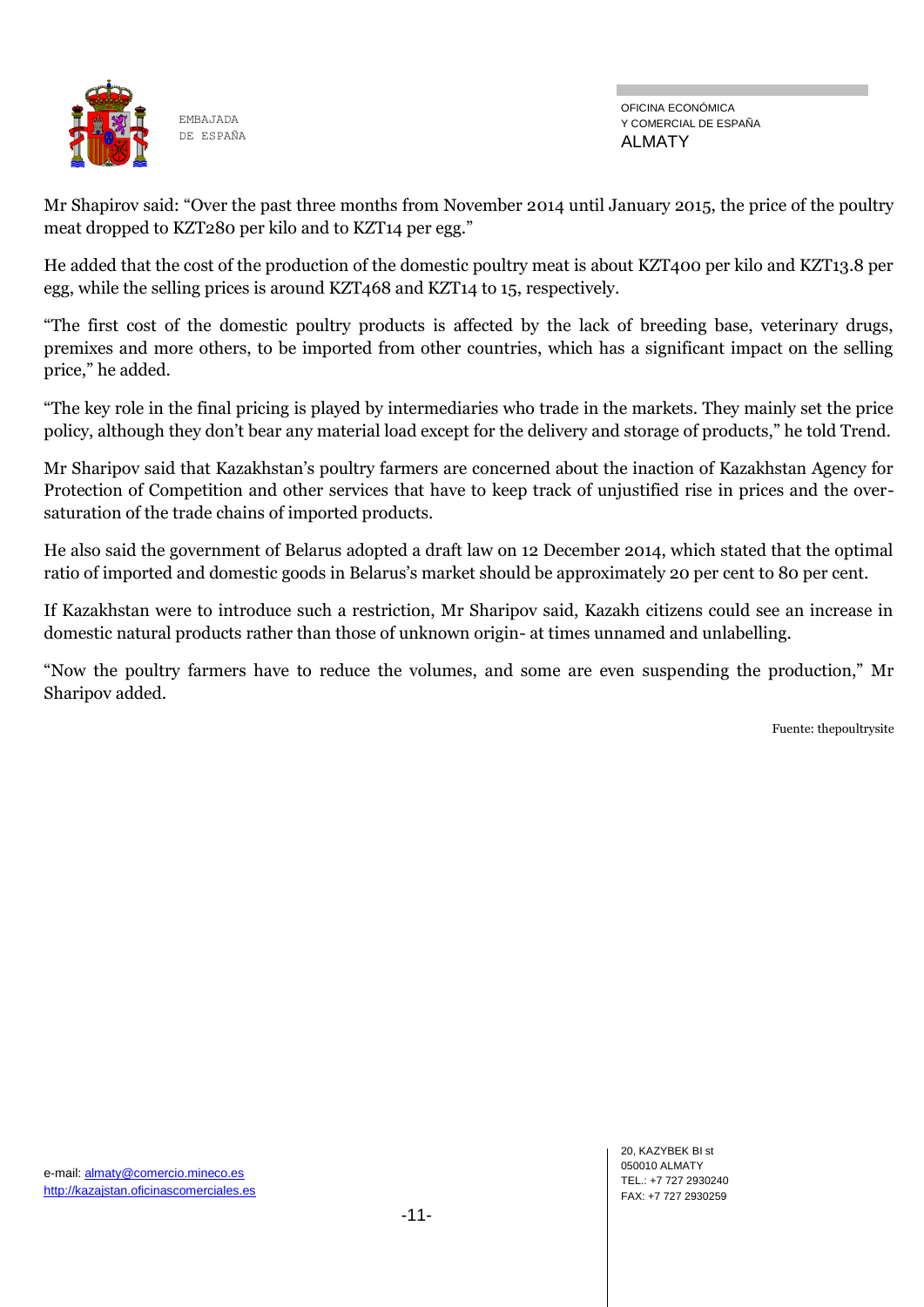

OFICINA ECONÓMICA Y COMERCIAL DE ESPAÑA ALMATY

Mr Shapirov said: "Over the past three months from November 2014 until January 2015, the price of the poultry meat dropped to KZT280 per kilo and to KZT14 per egg."

He added that the cost of the production of the domestic poultry meat is about KZT400 per kilo and KZT13.8 per egg, while the selling prices is around KZT468 and KZT14 to 15, respectively.

―The first cost of the domestic poultry products is affected by the lack of breeding base, veterinary drugs, premixes and more others, to be imported from other countries, which has a significant impact on the selling price," he added.

―The key role in the final pricing is played by intermediaries who trade in the markets. They mainly set the price policy, although they don't bear any material load except for the delivery and storage of products," he told Trend.

Mr Sharipov said that Kazakhstan's poultry farmers are concerned about the inaction of Kazakhstan Agency for Protection of Competition and other services that have to keep track of unjustified rise in prices and the oversaturation of the trade chains of imported products.

He also said the government of Belarus adopted a draft law on 12 December 2014, which stated that the optimal ratio of imported and domestic goods in Belarus's market should be approximately 20 per cent to 80 per cent.

If Kazakhstan were to introduce such a restriction, Mr Sharipov said, Kazakh citizens could see an increase in domestic natural products rather than those of unknown origin- at times unnamed and unlabelling.

―Now the poultry farmers have to reduce the volumes, and some are even suspending the production,‖ Mr Sharipov added.

Fuente: thepoultrysite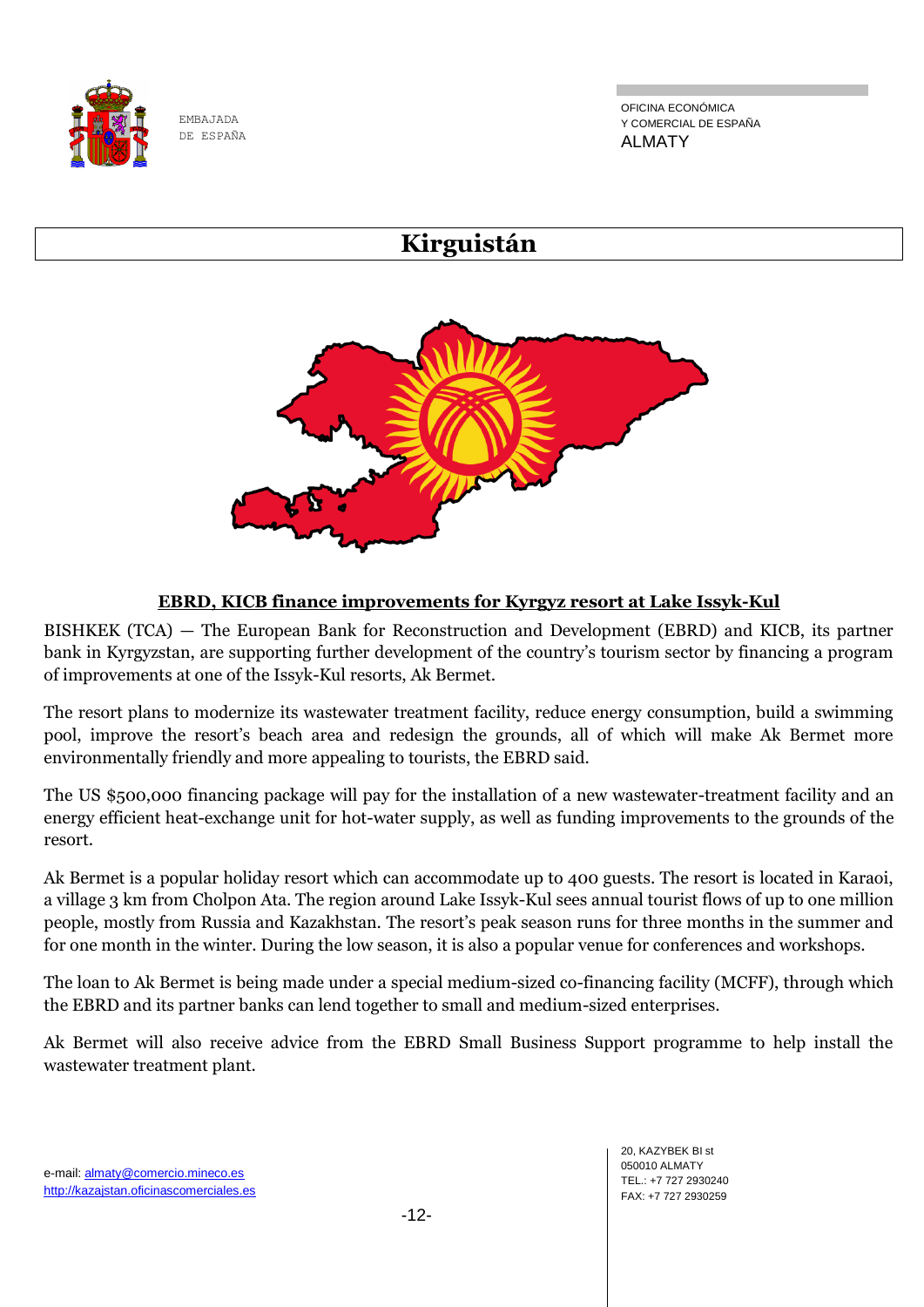

OFICINA ECONÓMICA Y COMERCIAL DE ESPAÑA ALMATY

# **Kirguistán**



# **EBRD, KICB finance improvements for Kyrgyz resort at Lake Issyk-Kul**

BISHKEK (TCA) — The European Bank for Reconstruction and Development (EBRD) and KICB, its partner bank in Kyrgyzstan, are supporting further development of the country's tourism sector by financing a program of improvements at one of the Issyk-Kul resorts, Ak Bermet.

The resort plans to modernize its wastewater treatment facility, reduce energy consumption, build a swimming pool, improve the resort's beach area and redesign the grounds, all of which will make Ak Bermet more environmentally friendly and more appealing to tourists, the EBRD said.

The US \$500,000 financing package will pay for the installation of a new wastewater-treatment facility and an energy efficient heat-exchange unit for hot-water supply, as well as funding improvements to the grounds of the resort.

Ak Bermet is a popular holiday resort which can accommodate up to 400 guests. The resort is located in Karaoi, a village 3 km from Cholpon Ata. The region around Lake Issyk-Kul sees annual tourist flows of up to one million people, mostly from Russia and Kazakhstan. The resort's peak season runs for three months in the summer and for one month in the winter. During the low season, it is also a popular venue for conferences and workshops.

The loan to Ak Bermet is being made under a special medium-sized co-financing facility (MCFF), through which the EBRD and its partner banks can lend together to small and medium-sized enterprises.

Ak Bermet will also receive advice from the EBRD Small Business Support programme to help install the wastewater treatment plant.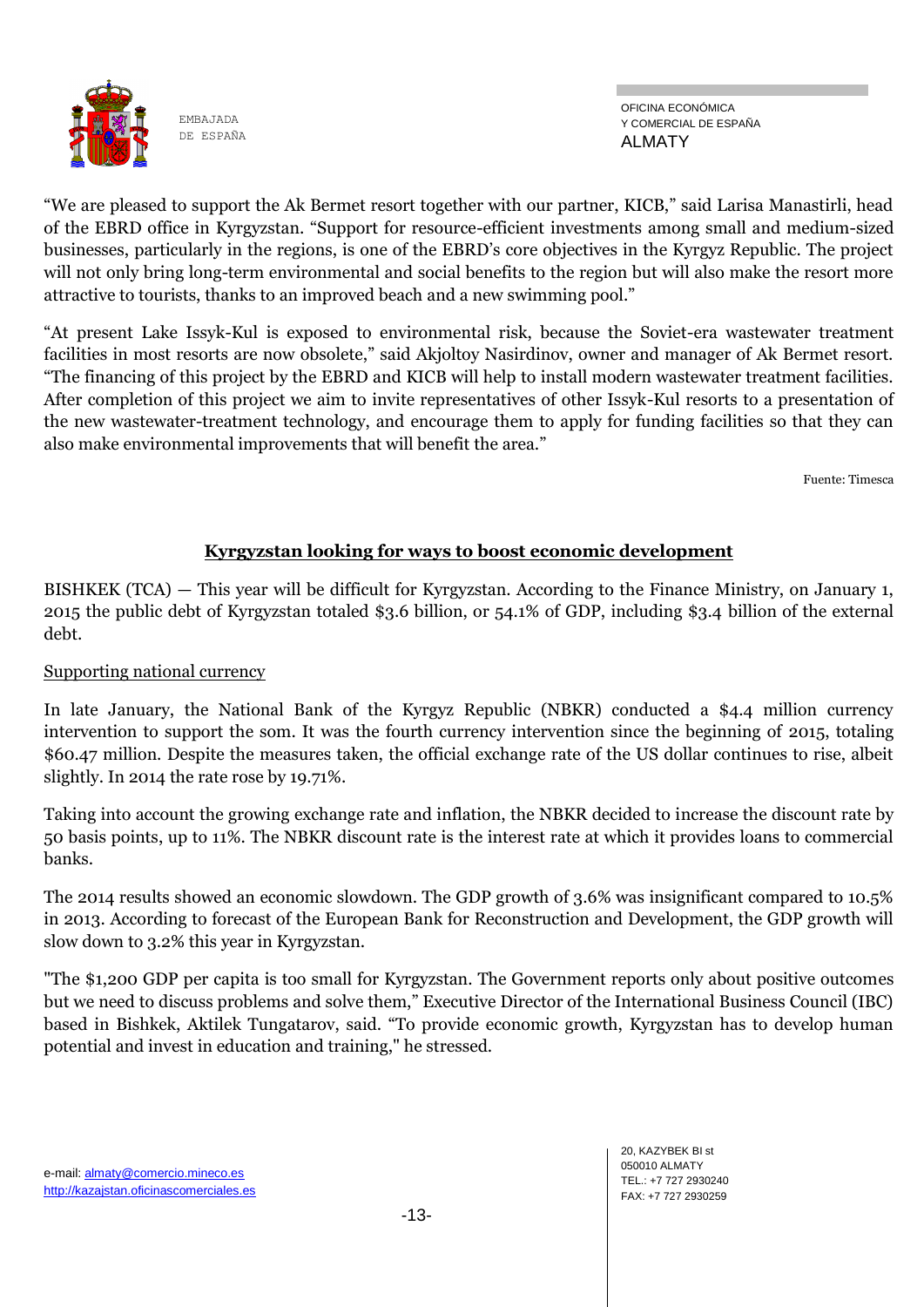

OFICINA ECONÓMICA Y COMERCIAL DE ESPAÑA ALMATY

"We are pleased to support the Ak Bermet resort together with our partner, KICB," said Larisa Manastirli, head of the EBRD office in Kyrgyzstan. "Support for resource-efficient investments among small and medium-sized businesses, particularly in the regions, is one of the EBRD's core objectives in the Kyrgyz Republic. The project will not only bring long-term environmental and social benefits to the region but will also make the resort more attractive to tourists, thanks to an improved beach and a new swimming pool."

―At present Lake Issyk-Kul is exposed to environmental risk, because the Soviet-era wastewater treatment facilities in most resorts are now obsolete," said Akjoltoy Nasirdinov, owner and manager of Ak Bermet resort. ―The financing of this project by the EBRD and KICB will help to install modern wastewater treatment facilities. After completion of this project we aim to invite representatives of other Issyk-Kul resorts to a presentation of the new wastewater-treatment technology, and encourage them to apply for funding facilities so that they can also make environmental improvements that will benefit the area."

Fuente: Timesca

# **Kyrgyzstan looking for ways to boost economic development**

BISHKEK (TCA) — This year will be difficult for Kyrgyzstan. According to the Finance Ministry, on January 1, 2015 the public debt of Kyrgyzstan totaled \$3.6 billion, or 54.1% of GDP, including \$3.4 billion of the external debt.

# Supporting national currency

In late January, the National Bank of the Kyrgyz Republic (NBKR) conducted a \$4.4 million currency intervention to support the som. It was the fourth currency intervention since the beginning of 2015, totaling \$60.47 million. Despite the measures taken, the official exchange rate of the US dollar continues to rise, albeit slightly. In 2014 the rate rose by 19.71%.

Taking into account the growing exchange rate and inflation, the NBKR decided to increase the discount rate by 50 basis points, up to 11%. The NBKR discount rate is the interest rate at which it provides loans to commercial banks.

The 2014 results showed an economic slowdown. The GDP growth of 3.6% was insignificant compared to 10.5% in 2013. According to forecast of the European Bank for Reconstruction and Development, the GDP growth will slow down to 3.2% this year in Kyrgyzstan.

"The \$1,200 GDP per capita is too small for Kyrgyzstan. The Government reports only about positive outcomes but we need to discuss problems and solve them," Executive Director of the International Business Council (IBC) based in Bishkek, Aktilek Tungatarov, said. "To provide economic growth, Kyrgyzstan has to develop human potential and invest in education and training," he stressed.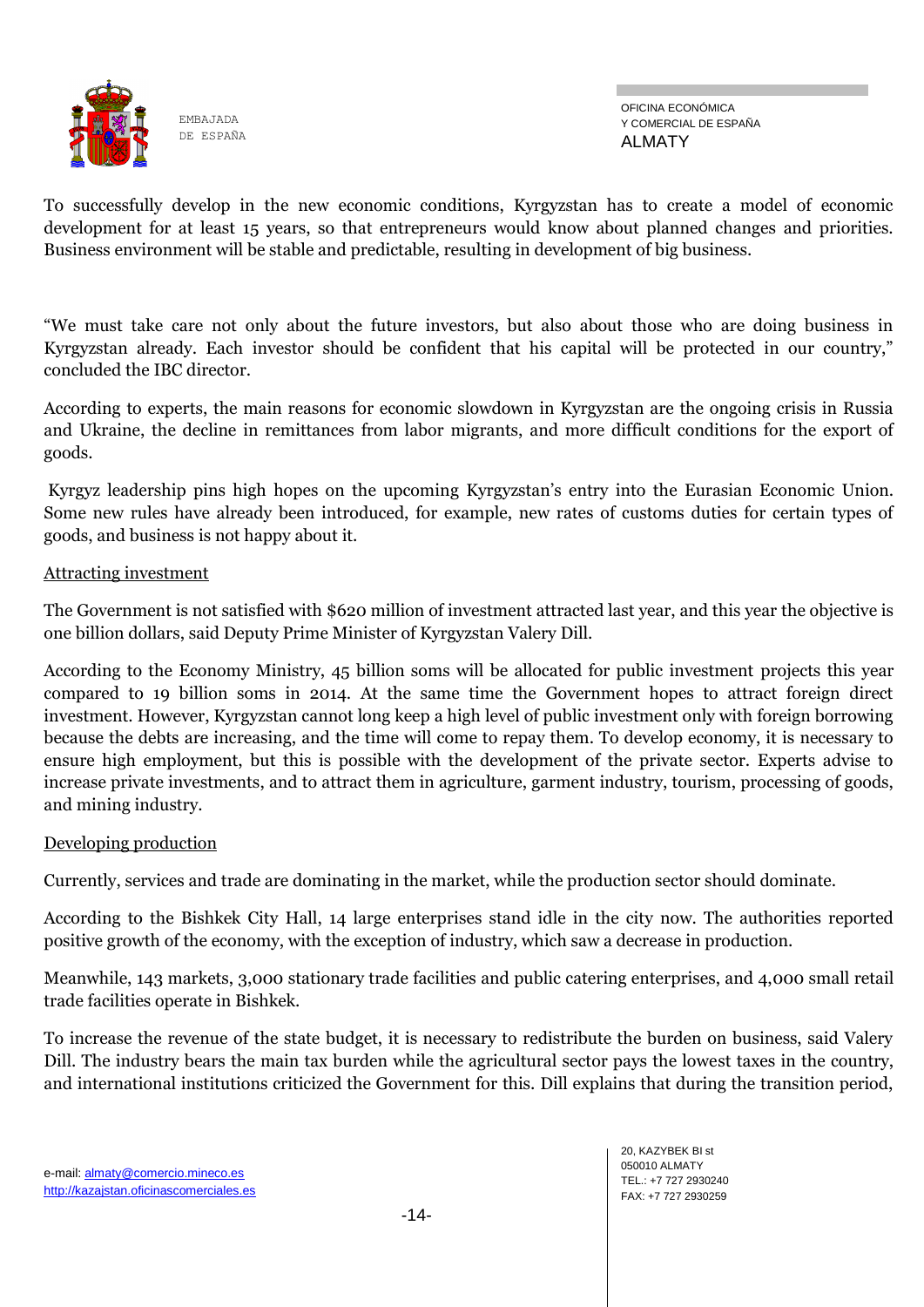

To successfully develop in the new economic conditions, Kyrgyzstan has to create a model of economic development for at least 15 years, so that entrepreneurs would know about planned changes and priorities. Business environment will be stable and predictable, resulting in development of big business.

―We must take care not only about the future investors, but also about those who are doing business in Kyrgyzstan already. Each investor should be confident that his capital will be protected in our country," concluded the IBC director.

According to experts, the main reasons for economic slowdown in Kyrgyzstan are the ongoing crisis in Russia and Ukraine, the decline in remittances from labor migrants, and more difficult conditions for the export of goods.

Kyrgyz leadership pins high hopes on the upcoming Kyrgyzstan's entry into the Eurasian Economic Union. Some new rules have already been introduced, for example, new rates of customs duties for certain types of goods, and business is not happy about it.

#### Attracting investment

The Government is not satisfied with \$620 million of investment attracted last year, and this year the objective is one billion dollars, said Deputy Prime Minister of Kyrgyzstan Valery Dill.

According to the Economy Ministry, 45 billion soms will be allocated for public investment projects this year compared to 19 billion soms in 2014. At the same time the Government hopes to attract foreign direct investment. However, Kyrgyzstan cannot long keep a high level of public investment only with foreign borrowing because the debts are increasing, and the time will come to repay them. To develop economy, it is necessary to ensure high employment, but this is possible with the development of the private sector. Experts advise to increase private investments, and to attract them in agriculture, garment industry, tourism, processing of goods, and mining industry.

#### Developing production

Currently, services and trade are dominating in the market, while the production sector should dominate.

According to the Bishkek City Hall, 14 large enterprises stand idle in the city now. The authorities reported positive growth of the economy, with the exception of industry, which saw a decrease in production.

Meanwhile, 143 markets, 3,000 stationary trade facilities and public catering enterprises, and 4,000 small retail trade facilities operate in Bishkek.

To increase the revenue of the state budget, it is necessary to redistribute the burden on business, said Valery Dill. The industry bears the main tax burden while the agricultural sector pays the lowest taxes in the country, and international institutions criticized the Government for this. Dill explains that during the transition period,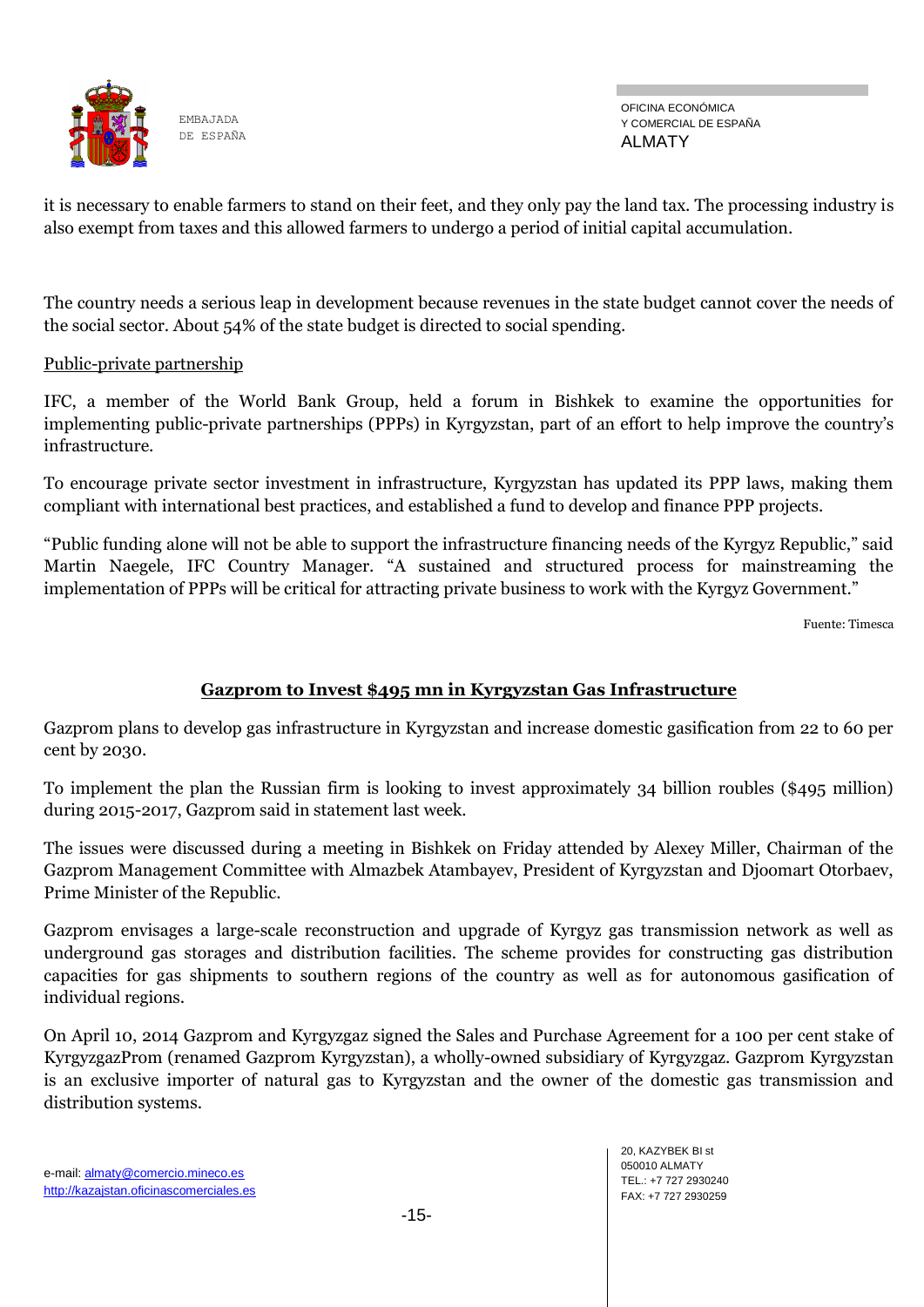

it is necessary to enable farmers to stand on their feet, and they only pay the land tax. The processing industry is also exempt from taxes and this allowed farmers to undergo a period of initial capital accumulation.

The country needs a serious leap in development because revenues in the state budget cannot cover the needs of the social sector. About 54% of the state budget is directed to social spending.

#### Public-private partnership

IFC, a member of the World Bank Group, held a forum in Bishkek to examine the opportunities for implementing public-private partnerships (PPPs) in Kyrgyzstan, part of an effort to help improve the country's infrastructure.

To encourage private sector investment in infrastructure, Kyrgyzstan has updated its PPP laws, making them compliant with international best practices, and established a fund to develop and finance PPP projects.

"Public funding alone will not be able to support the infrastructure financing needs of the Kyrgyz Republic," said Martin Naegele, IFC Country Manager. "A sustained and structured process for mainstreaming the implementation of PPPs will be critical for attracting private business to work with the Kyrgyz Government."

Fuente: Timesca

# **Gazprom to Invest \$495 mn in Kyrgyzstan Gas Infrastructure**

Gazprom plans to develop gas infrastructure in Kyrgyzstan and increase domestic gasification from 22 to 60 per cent by 2030.

To implement the plan the Russian firm is looking to invest approximately 34 billion roubles (\$495 million) during 2015-2017, Gazprom said in statement last week.

The issues were discussed during a meeting in Bishkek on Friday attended by Alexey Miller, Chairman of the Gazprom Management Committee with Almazbek Atambayev, President of Kyrgyzstan and Djoomart Otorbaev, Prime Minister of the Republic.

Gazprom envisages a large-scale reconstruction and upgrade of Kyrgyz gas transmission network as well as underground gas storages and distribution facilities. The scheme provides for constructing gas distribution capacities for gas shipments to southern regions of the country as well as for autonomous gasification of individual regions.

On April 10, 2014 Gazprom and Kyrgyzgaz signed the Sales and Purchase Agreement for a 100 per cent stake of KyrgyzgazProm (renamed Gazprom Kyrgyzstan), a wholly-owned subsidiary of Kyrgyzgaz. Gazprom Kyrgyzstan is an exclusive importer of natural gas to Kyrgyzstan and the owner of the domestic gas transmission and distribution systems.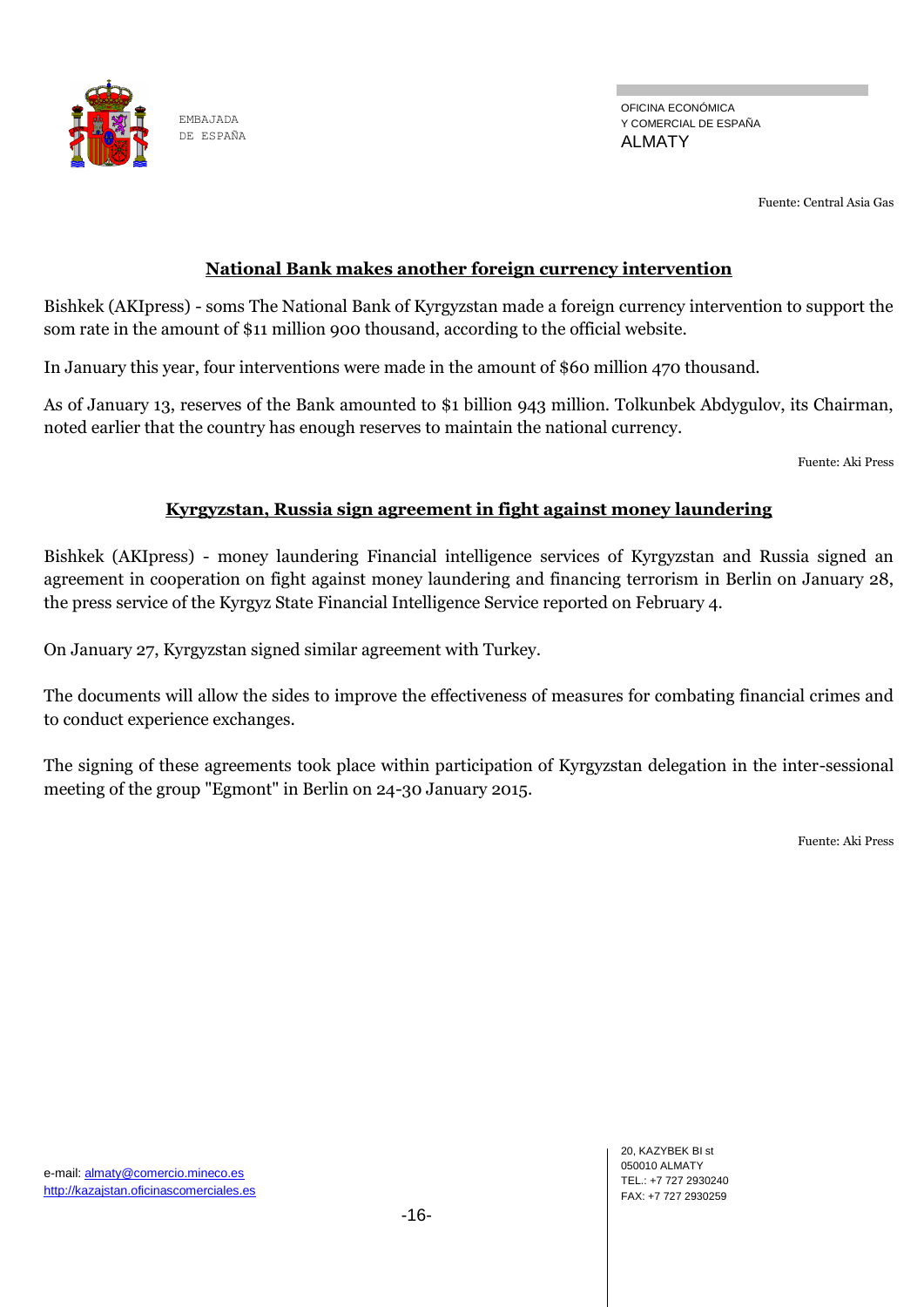

OFICINA ECONÓMICA Y COMERCIAL DE ESPAÑA ALMATY

Fuente: Central Asia Gas

# **National Bank makes another foreign currency intervention**

Bishkek (AKIpress) - soms The National Bank of Kyrgyzstan made a foreign currency intervention to support the som rate in the amount of \$11 million 900 thousand, according to the official website.

In January this year, four interventions were made in the amount of \$60 million 470 thousand.

As of January 13, reserves of the Bank amounted to \$1 billion 943 million. Tolkunbek Abdygulov, its Chairman, noted earlier that the country has enough reserves to maintain the national currency.

Fuente: Aki Press

# **Kyrgyzstan, Russia sign agreement in fight against money laundering**

Bishkek (AKIpress) - money laundering Financial intelligence services of Kyrgyzstan and Russia signed an agreement in cooperation on fight against money laundering and financing terrorism in Berlin on January 28, the press service of the Kyrgyz State Financial Intelligence Service reported on February 4.

On January 27, Kyrgyzstan signed similar agreement with Turkey.

The documents will allow the sides to improve the effectiveness of measures for combating financial crimes and to conduct experience exchanges.

The signing of these agreements took place within participation of Kyrgyzstan delegation in the inter-sessional meeting of the group "Egmont" in Berlin on 24-30 January 2015.

Fuente: Aki Press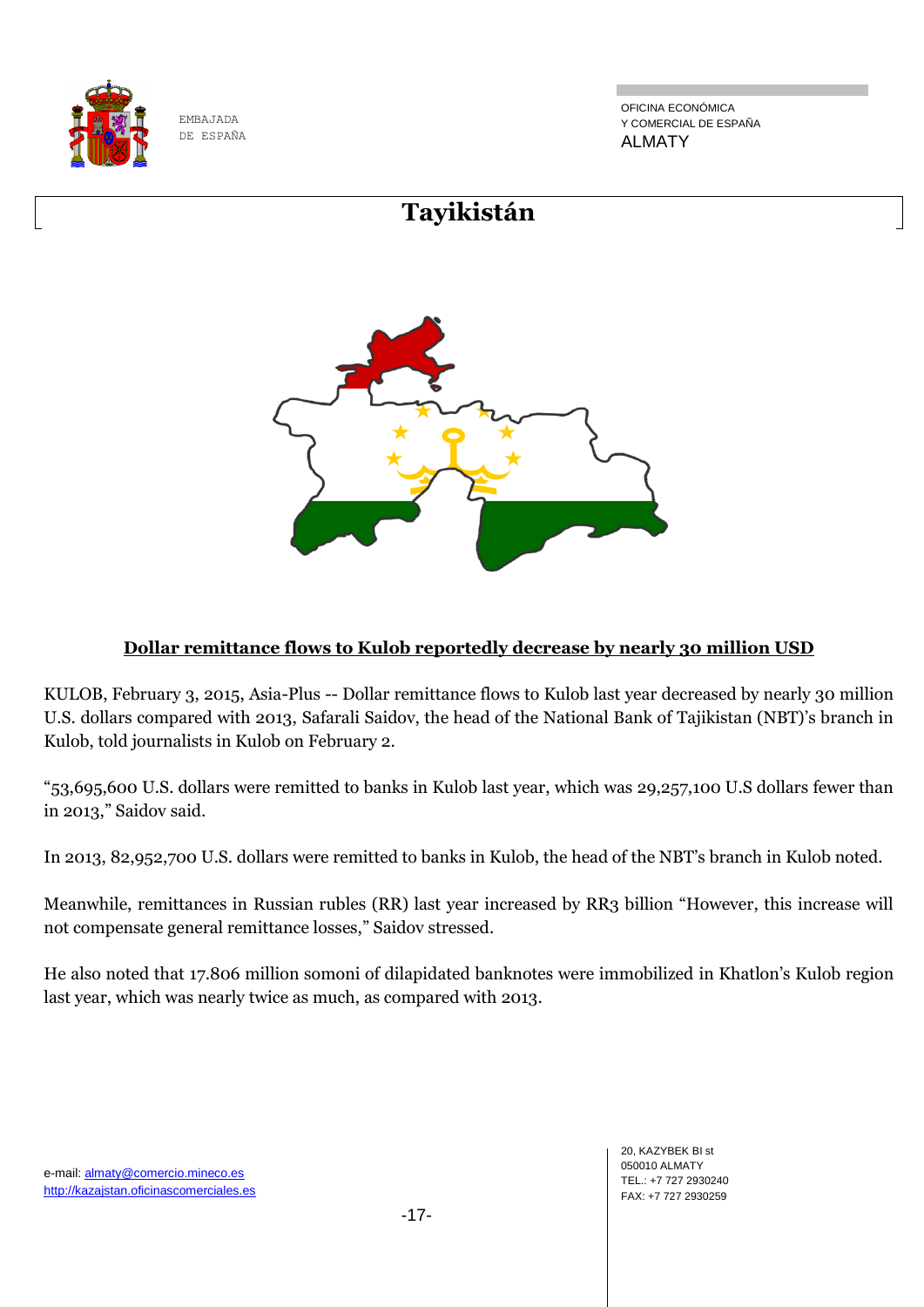

OFICINA ECONÓMICA Y COMERCIAL DE ESPAÑA ALMATY



# **Dollar remittance flows to Kulob reportedly decrease by nearly 30 million USD**

KULOB, February 3, 2015, Asia-Plus -- Dollar remittance flows to Kulob last year decreased by nearly 30 million U.S. dollars compared with 2013, Safarali Saidov, the head of the National Bank of Tajikistan (NBT)'s branch in Kulob, told journalists in Kulob on February 2.

―53,695,600 U.S. dollars were remitted to banks in Kulob last year, which was 29,257,100 U.S dollars fewer than in 2013," Saidov said.

In 2013, 82,952,700 U.S. dollars were remitted to banks in Kulob, the head of the NBT's branch in Kulob noted.

Meanwhile, remittances in Russian rubles (RR) last year increased by RR3 billion "However, this increase will not compensate general remittance losses," Saidov stressed.

He also noted that 17.806 million somoni of dilapidated banknotes were immobilized in Khatlon's Kulob region last year, which was nearly twice as much, as compared with 2013.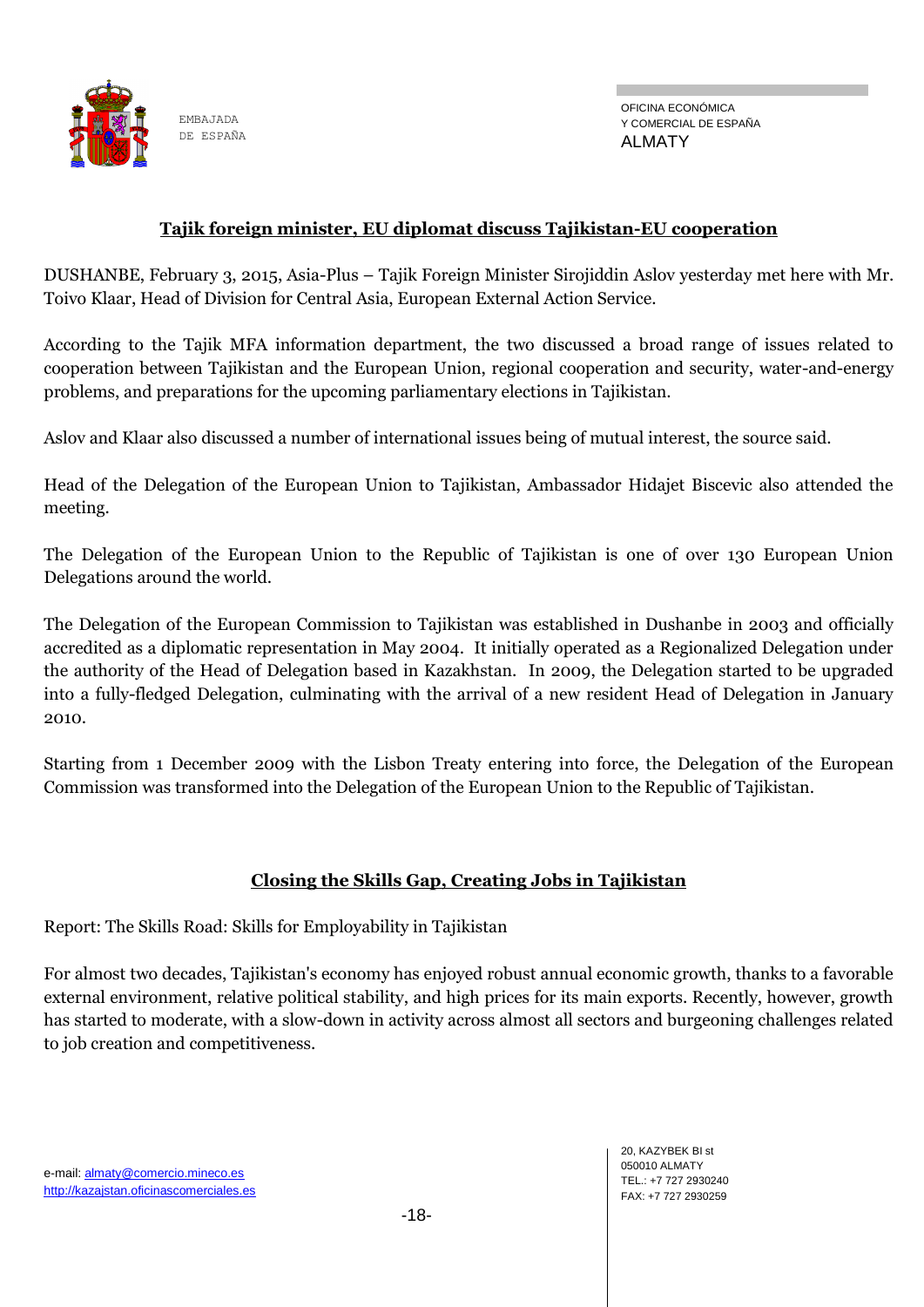

OFICINA ECONÓMICA Y COMERCIAL DE ESPAÑA ALMATY

# **Tajik foreign minister, EU diplomat discuss Tajikistan-EU cooperation**

DUSHANBE, February 3, 2015, Asia-Plus – Tajik Foreign Minister Sirojiddin Aslov yesterday met here with Mr. Toivo Klaar, Head of Division for Central Asia, European External Action Service.

According to the Tajik MFA information department, the two discussed a broad range of issues related to cooperation between Tajikistan and the European Union, regional cooperation and security, water-and-energy problems, and preparations for the upcoming parliamentary elections in Tajikistan.

Aslov and Klaar also discussed a number of international issues being of mutual interest, the source said.

Head of the Delegation of the European Union to Tajikistan, Ambassador Hidajet Biscevic also attended the meeting.

The Delegation of the European Union to the Republic of Tajikistan is one of over 130 European Union Delegations around the world.

The Delegation of the European Commission to Tajikistan was established in Dushanbe in 2003 and officially accredited as a diplomatic representation in May 2004. It initially operated as a Regionalized Delegation under the authority of the Head of Delegation based in Kazakhstan. In 2009, the Delegation started to be upgraded into a fully-fledged Delegation, culminating with the arrival of a new resident Head of Delegation in January 2010.

Starting from 1 December 2009 with the Lisbon Treaty entering into force, the Delegation of the European Commission was transformed into the Delegation of the European Union to the Republic of Tajikistan.

# **Closing the Skills Gap, Creating Jobs in Tajikistan**

Report: The Skills Road: Skills for Employability in Tajikistan

For almost two decades, Tajikistan's economy has enjoyed robust annual economic growth, thanks to a favorable external environment, relative political stability, and high prices for its main exports. Recently, however, growth has started to moderate, with a slow-down in activity across almost all sectors and burgeoning challenges related to job creation and competitiveness.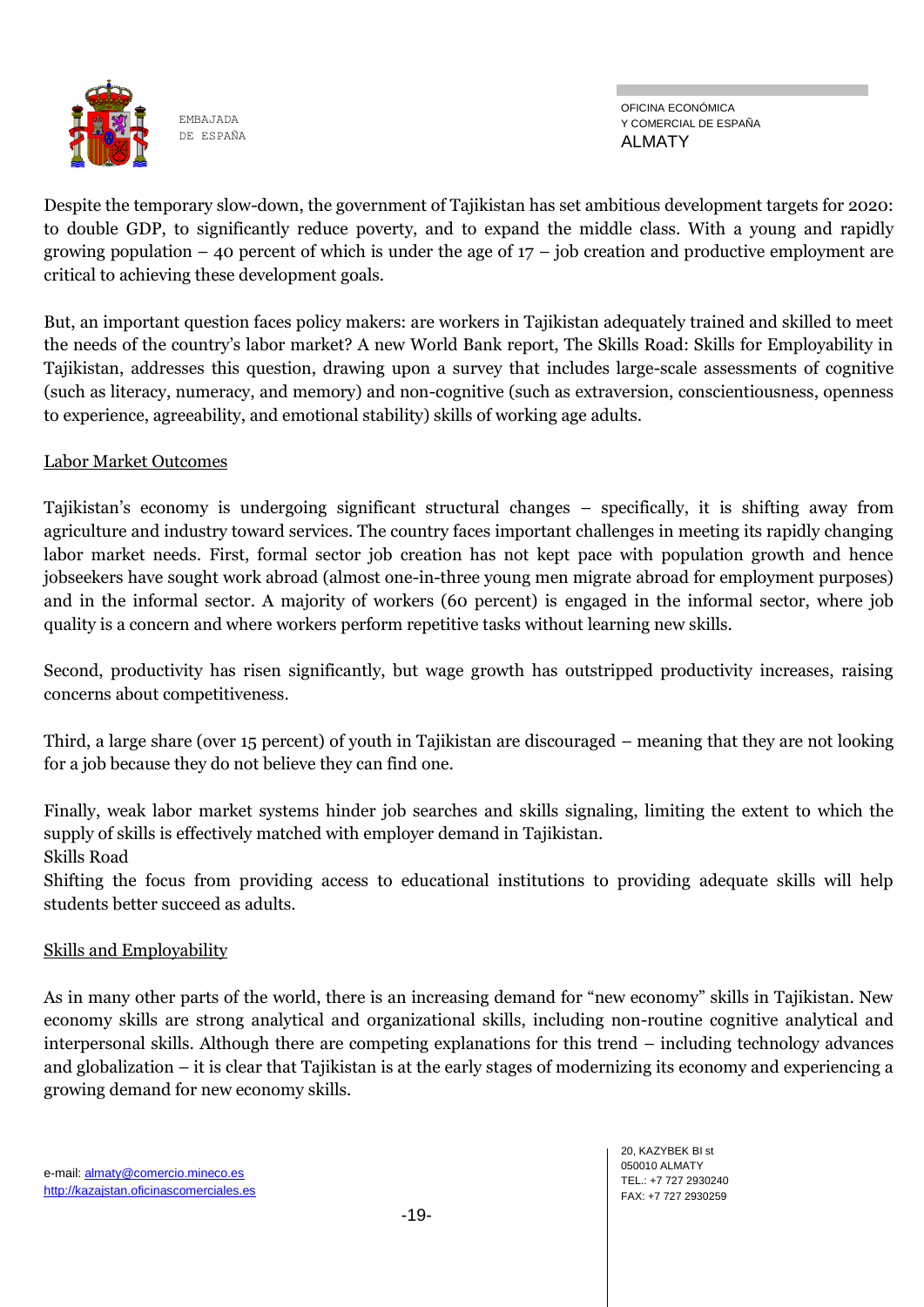

OFICINA ECONÓMICA Y COMERCIAL DE ESPAÑA ALMATY

Despite the temporary slow-down, the government of Tajikistan has set ambitious development targets for 2020: to double GDP, to significantly reduce poverty, and to expand the middle class. With a young and rapidly growing population  $-$  40 percent of which is under the age of  $17$  – job creation and productive employment are critical to achieving these development goals.

But, an important question faces policy makers: are workers in Tajikistan adequately trained and skilled to meet the needs of the country's labor market? A new World Bank report, The Skills Road: Skills for Employability in Tajikistan, addresses this question, drawing upon a survey that includes large-scale assessments of cognitive (such as literacy, numeracy, and memory) and non-cognitive (such as extraversion, conscientiousness, openness to experience, agreeability, and emotional stability) skills of working age adults.

# Labor Market Outcomes

Tajikistan's economy is undergoing significant structural changes – specifically, it is shifting away from agriculture and industry toward services. The country faces important challenges in meeting its rapidly changing labor market needs. First, formal sector job creation has not kept pace with population growth and hence jobseekers have sought work abroad (almost one-in-three young men migrate abroad for employment purposes) and in the informal sector. A majority of workers (60 percent) is engaged in the informal sector, where job quality is a concern and where workers perform repetitive tasks without learning new skills.

Second, productivity has risen significantly, but wage growth has outstripped productivity increases, raising concerns about competitiveness.

Third, a large share (over 15 percent) of youth in Tajikistan are discouraged – meaning that they are not looking for a job because they do not believe they can find one.

Finally, weak labor market systems hinder job searches and skills signaling, limiting the extent to which the supply of skills is effectively matched with employer demand in Tajikistan. Skills Road

Shifting the focus from providing access to educational institutions to providing adequate skills will help students better succeed as adults.

# Skills and Employability

As in many other parts of the world, there is an increasing demand for "new economy" skills in Tajikistan. New economy skills are strong analytical and organizational skills, including non-routine cognitive analytical and interpersonal skills. Although there are competing explanations for this trend – including technology advances and globalization – it is clear that Tajikistan is at the early stages of modernizing its economy and experiencing a growing demand for new economy skills.